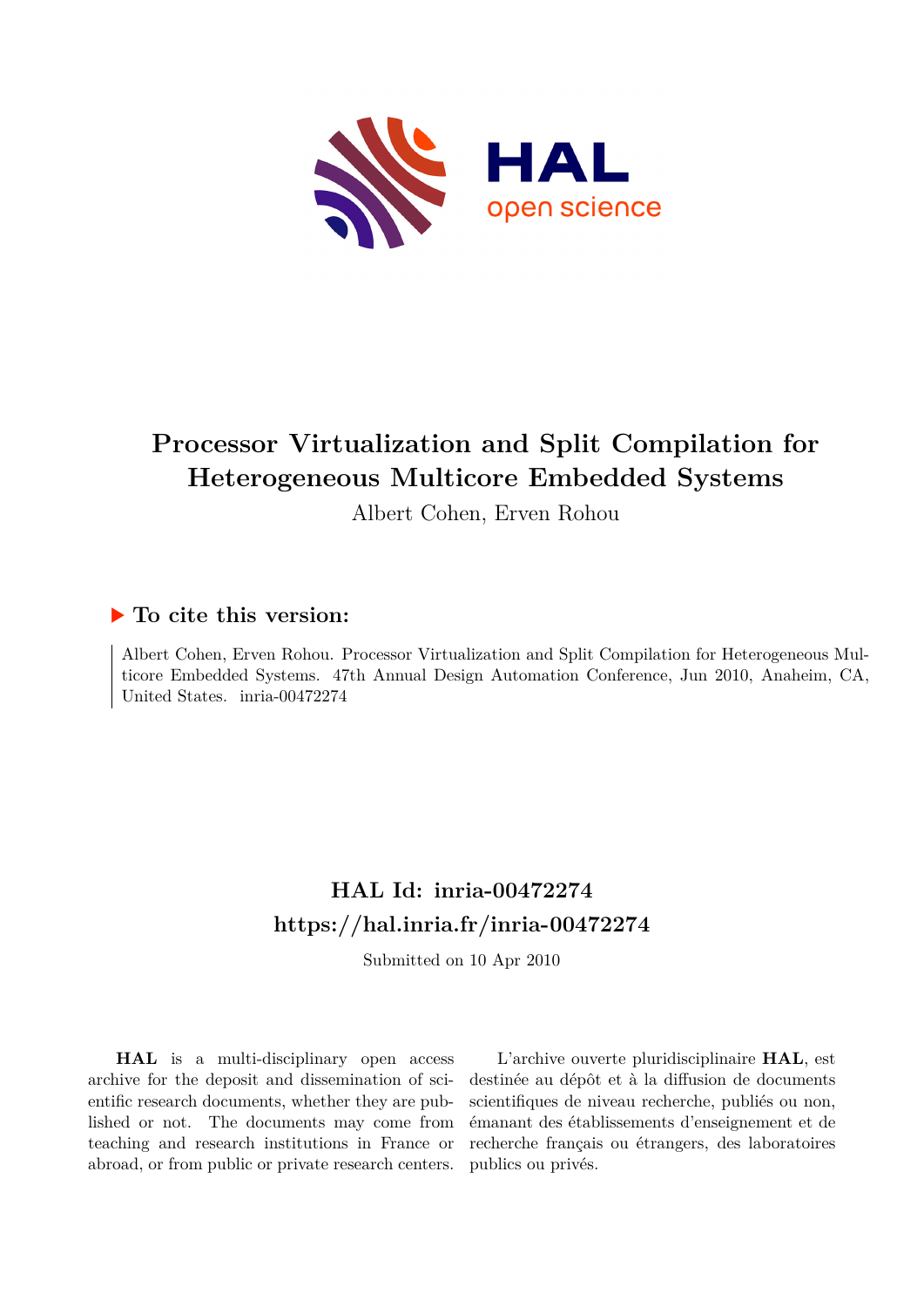

# **Processor Virtualization and Split Compilation for Heterogeneous Multicore Embedded Systems**

Albert Cohen, Erven Rohou

### **To cite this version:**

Albert Cohen, Erven Rohou. Processor Virtualization and Split Compilation for Heterogeneous Multicore Embedded Systems. 47th Annual Design Automation Conference, Jun 2010, Anaheim, CA, United States. inria-00472274

## **HAL Id: inria-00472274 <https://hal.inria.fr/inria-00472274>**

Submitted on 10 Apr 2010

**HAL** is a multi-disciplinary open access archive for the deposit and dissemination of scientific research documents, whether they are published or not. The documents may come from teaching and research institutions in France or abroad, or from public or private research centers.

L'archive ouverte pluridisciplinaire **HAL**, est destinée au dépôt et à la diffusion de documents scientifiques de niveau recherche, publiés ou non, émanant des établissements d'enseignement et de recherche français ou étrangers, des laboratoires publics ou privés.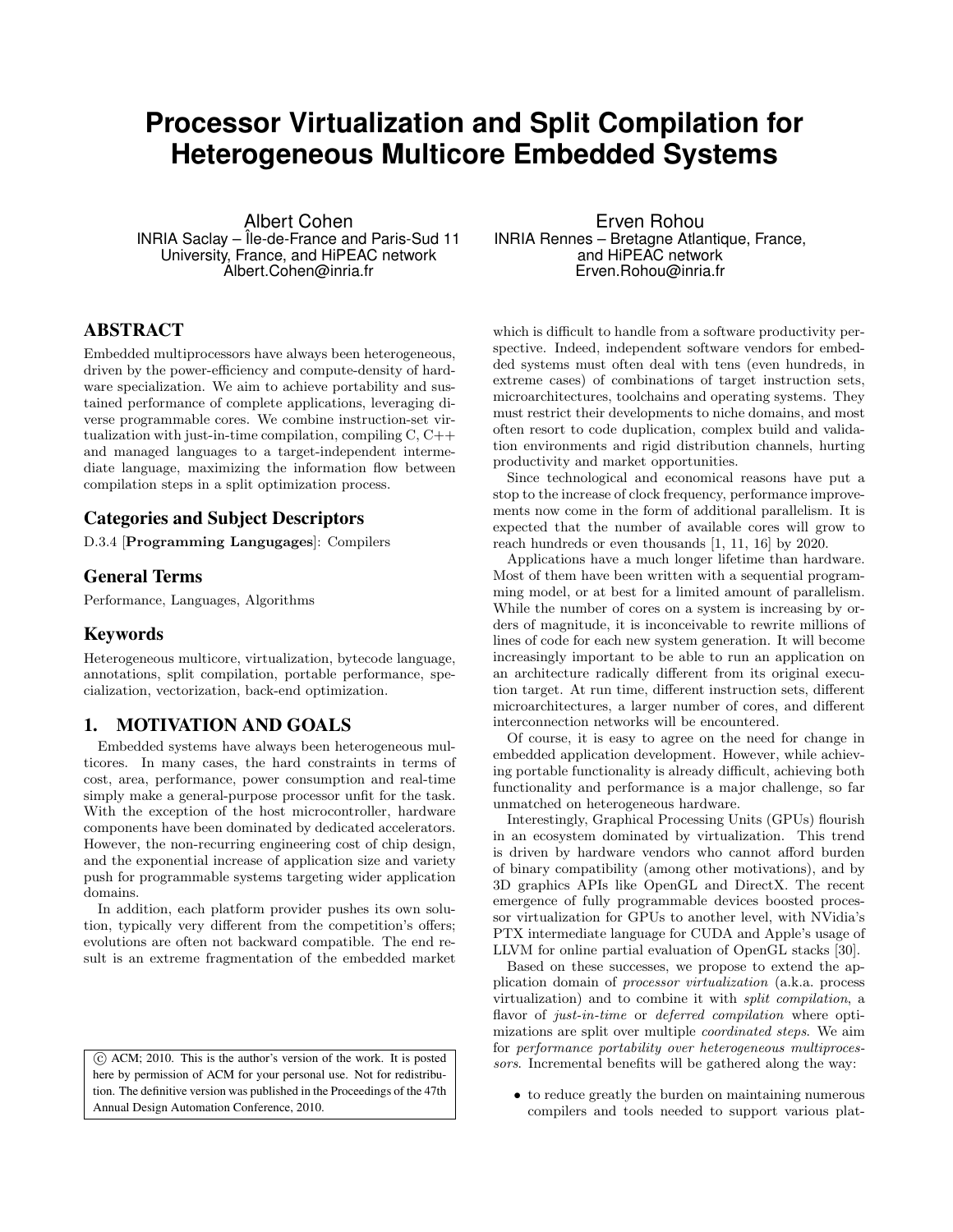### **Processor Virtualization and Split Compilation for Heterogeneous Multicore Embedded Systems**

Albert Cohen INRIA Saclay – Île-de-France and Paris-Sud 11 University, France, and HiPEAC network Albert.Cohen@inria.fr

#### ABSTRACT

Embedded multiprocessors have always been heterogeneous, driven by the power-efficiency and compute-density of hardware specialization. We aim to achieve portability and sustained performance of complete applications, leveraging diverse programmable cores. We combine instruction-set virtualization with just-in-time compilation, compiling  $C, C++$ and managed languages to a target-independent intermediate language, maximizing the information flow between compilation steps in a split optimization process.

#### Categories and Subject Descriptors

D.3.4 [Programming Langugages]: Compilers

#### General Terms

Performance, Languages, Algorithms

#### Keywords

Heterogeneous multicore, virtualization, bytecode language, annotations, split compilation, portable performance, specialization, vectorization, back-end optimization.

#### 1. MOTIVATION AND GOALS

Embedded systems have always been heterogeneous multicores. In many cases, the hard constraints in terms of cost, area, performance, power consumption and real-time simply make a general-purpose processor unfit for the task. With the exception of the host microcontroller, hardware components have been dominated by dedicated accelerators. However, the non-recurring engineering cost of chip design, and the exponential increase of application size and variety push for programmable systems targeting wider application domains.

In addition, each platform provider pushes its own solution, typically very different from the competition's offers; evolutions are often not backward compatible. The end result is an extreme fragmentation of the embedded market

 $(C)$  ACM; 2010. This is the author's version of the work. It is posted here by permission of ACM for your personal use. Not for redistribution. The definitive version was published in the Proceedings of the 47th Annual Design Automation Conference, 2010.

Erven Rohou INRIA Rennes – Bretagne Atlantique, France, and HiPEAC network Erven.Rohou@inria.fr

which is difficult to handle from a software productivity perspective. Indeed, independent software vendors for embedded systems must often deal with tens (even hundreds, in extreme cases) of combinations of target instruction sets, microarchitectures, toolchains and operating systems. They must restrict their developments to niche domains, and most often resort to code duplication, complex build and validation environments and rigid distribution channels, hurting productivity and market opportunities.

Since technological and economical reasons have put a stop to the increase of clock frequency, performance improvements now come in the form of additional parallelism. It is expected that the number of available cores will grow to reach hundreds or even thousands [1, 11, 16] by 2020.

Applications have a much longer lifetime than hardware. Most of them have been written with a sequential programming model, or at best for a limited amount of parallelism. While the number of cores on a system is increasing by orders of magnitude, it is inconceivable to rewrite millions of lines of code for each new system generation. It will become increasingly important to be able to run an application on an architecture radically different from its original execution target. At run time, different instruction sets, different microarchitectures, a larger number of cores, and different interconnection networks will be encountered.

Of course, it is easy to agree on the need for change in embedded application development. However, while achieving portable functionality is already difficult, achieving both functionality and performance is a major challenge, so far unmatched on heterogeneous hardware.

Interestingly, Graphical Processing Units (GPUs) flourish in an ecosystem dominated by virtualization. This trend is driven by hardware vendors who cannot afford burden of binary compatibility (among other motivations), and by 3D graphics APIs like OpenGL and DirectX. The recent emergence of fully programmable devices boosted processor virtualization for GPUs to another level, with NVidia's PTX intermediate language for CUDA and Apple's usage of LLVM for online partial evaluation of OpenGL stacks [30].

Based on these successes, we propose to extend the application domain of processor virtualization (a.k.a. process virtualization) and to combine it with split compilation, a flavor of *just-in-time* or *deferred compilation* where optimizations are split over multiple coordinated steps. We aim for performance portability over heterogeneous multiprocessors. Incremental benefits will be gathered along the way:

• to reduce greatly the burden on maintaining numerous compilers and tools needed to support various plat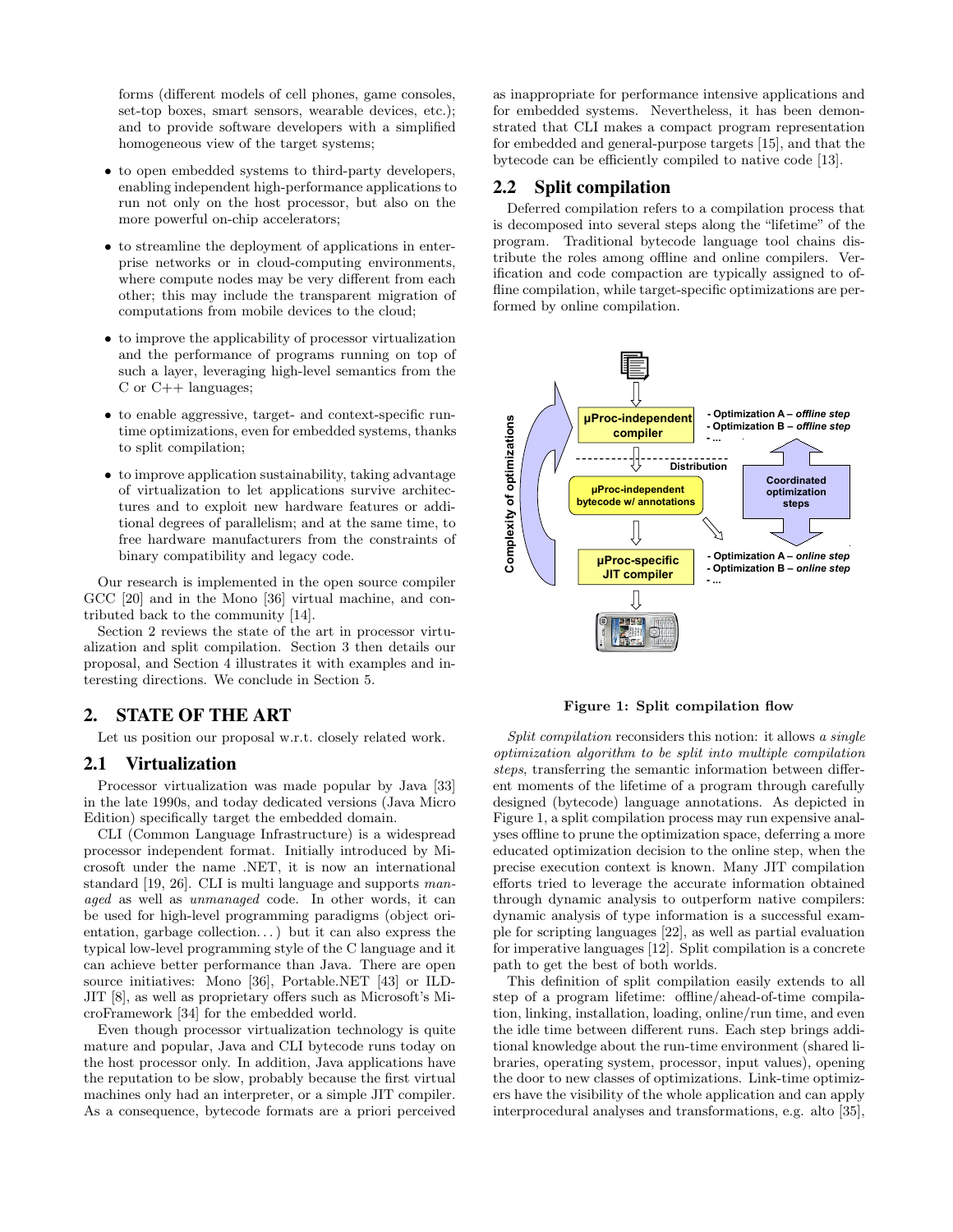forms (different models of cell phones, game consoles, set-top boxes, smart sensors, wearable devices, etc.); and to provide software developers with a simplified homogeneous view of the target systems;

- to open embedded systems to third-party developers, enabling independent high-performance applications to run not only on the host processor, but also on the more powerful on-chip accelerators;
- to streamline the deployment of applications in enterprise networks or in cloud-computing environments, where compute nodes may be very different from each other; this may include the transparent migration of computations from mobile devices to the cloud;
- to improve the applicability of processor virtualization and the performance of programs running on top of such a layer, leveraging high-level semantics from the C or C++ languages;
- to enable aggressive, target- and context-specific runtime optimizations, even for embedded systems, thanks to split compilation;
- to improve application sustainability, taking advantage of virtualization to let applications survive architectures and to exploit new hardware features or additional degrees of parallelism; and at the same time, to free hardware manufacturers from the constraints of binary compatibility and legacy code.

Our research is implemented in the open source compiler GCC [20] and in the Mono [36] virtual machine, and contributed back to the community [14].

Section 2 reviews the state of the art in processor virtualization and split compilation. Section 3 then details our proposal, and Section 4 illustrates it with examples and interesting directions. We conclude in Section 5.

#### 2. STATE OF THE ART

Let us position our proposal w.r.t. closely related work.

#### 2.1 Virtualization

Processor virtualization was made popular by Java [33] in the late 1990s, and today dedicated versions (Java Micro Edition) specifically target the embedded domain.

CLI (Common Language Infrastructure) is a widespread processor independent format. Initially introduced by Microsoft under the name .NET, it is now an international standard [19, 26]. CLI is multi language and supports managed as well as unmanaged code. In other words, it can be used for high-level programming paradigms (object orientation, garbage collection...) but it can also express the typical low-level programming style of the C language and it can achieve better performance than Java. There are open source initiatives: Mono [36], Portable.NET [43] or ILD-JIT [8], as well as proprietary offers such as Microsoft's MicroFramework [34] for the embedded world.

Even though processor virtualization technology is quite mature and popular, Java and CLI bytecode runs today on the host processor only. In addition, Java applications have the reputation to be slow, probably because the first virtual machines only had an interpreter, or a simple JIT compiler. As a consequence, bytecode formats are a priori perceived as inappropriate for performance intensive applications and for embedded systems. Nevertheless, it has been demonstrated that CLI makes a compact program representation for embedded and general-purpose targets [15], and that the bytecode can be efficiently compiled to native code [13].

#### 2.2 Split compilation

Deferred compilation refers to a compilation process that is decomposed into several steps along the "lifetime" of the program. Traditional bytecode language tool chains distribute the roles among offline and online compilers. Verification and code compaction are typically assigned to offline compilation, while target-specific optimizations are performed by online compilation.



Figure 1: Split compilation flow

Split compilation reconsiders this notion: it allows a single optimization algorithm to be split into multiple compilation steps, transferring the semantic information between different moments of the lifetime of a program through carefully designed (bytecode) language annotations. As depicted in Figure 1, a split compilation process may run expensive analyses offline to prune the optimization space, deferring a more educated optimization decision to the online step, when the precise execution context is known. Many JIT compilation efforts tried to leverage the accurate information obtained through dynamic analysis to outperform native compilers: dynamic analysis of type information is a successful example for scripting languages [22], as well as partial evaluation for imperative languages [12]. Split compilation is a concrete path to get the best of both worlds.

This definition of split compilation easily extends to all step of a program lifetime: offline/ahead-of-time compilation, linking, installation, loading, online/run time, and even the idle time between different runs. Each step brings additional knowledge about the run-time environment (shared libraries, operating system, processor, input values), opening the door to new classes of optimizations. Link-time optimizers have the visibility of the whole application and can apply interprocedural analyses and transformations, e.g. alto [35],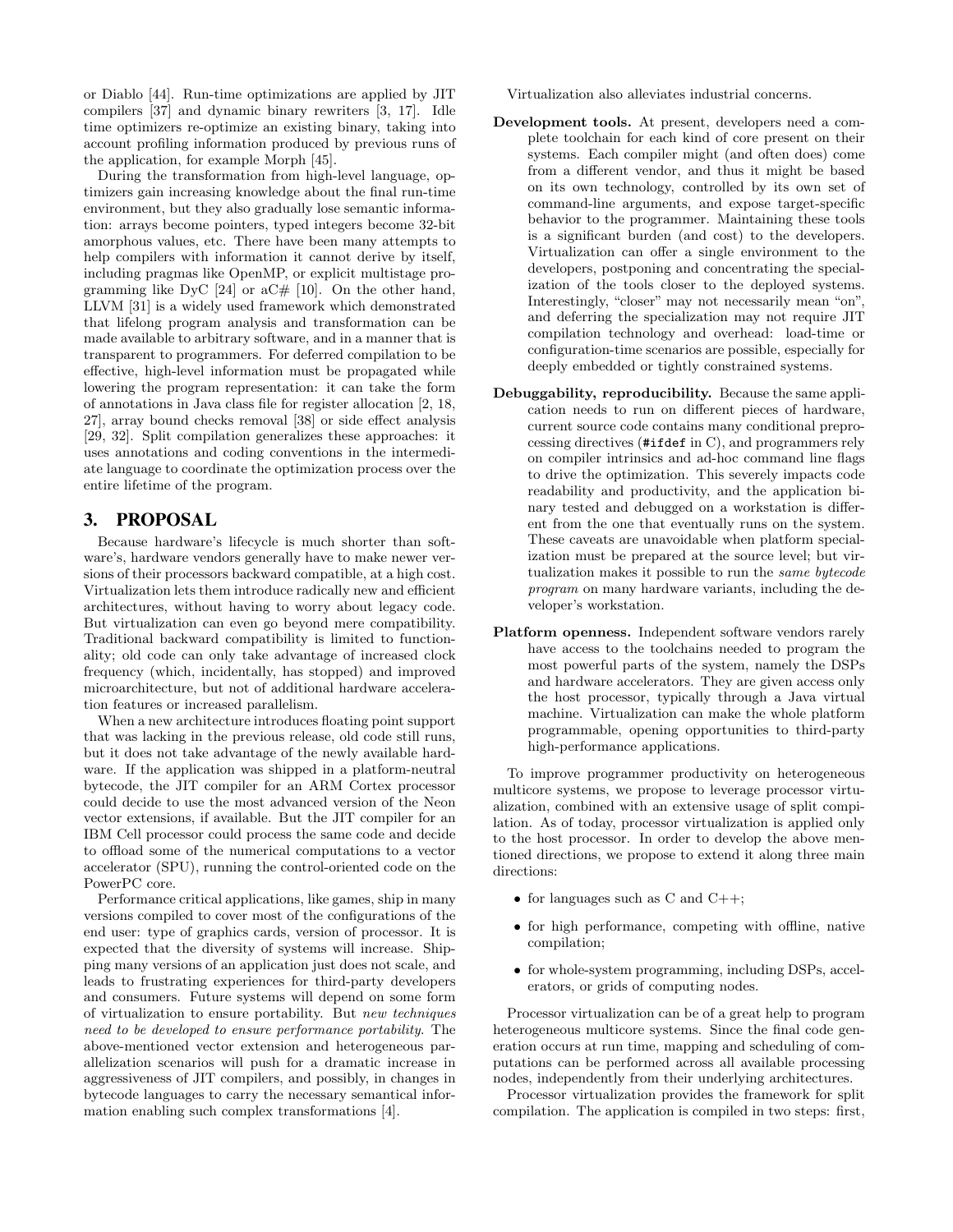or Diablo [44]. Run-time optimizations are applied by JIT compilers [37] and dynamic binary rewriters [3, 17]. Idle time optimizers re-optimize an existing binary, taking into account profiling information produced by previous runs of the application, for example Morph [45].

During the transformation from high-level language, optimizers gain increasing knowledge about the final run-time environment, but they also gradually lose semantic information: arrays become pointers, typed integers become 32-bit amorphous values, etc. There have been many attempts to help compilers with information it cannot derive by itself, including pragmas like OpenMP, or explicit multistage programming like DyC  $[24]$  or aC#  $[10]$ . On the other hand, LLVM [31] is a widely used framework which demonstrated that lifelong program analysis and transformation can be made available to arbitrary software, and in a manner that is transparent to programmers. For deferred compilation to be effective, high-level information must be propagated while lowering the program representation: it can take the form of annotations in Java class file for register allocation [2, 18, 27], array bound checks removal [38] or side effect analysis [29, 32]. Split compilation generalizes these approaches: it uses annotations and coding conventions in the intermediate language to coordinate the optimization process over the entire lifetime of the program.

#### 3. PROPOSAL

Because hardware's lifecycle is much shorter than software's, hardware vendors generally have to make newer versions of their processors backward compatible, at a high cost. Virtualization lets them introduce radically new and efficient architectures, without having to worry about legacy code. But virtualization can even go beyond mere compatibility. Traditional backward compatibility is limited to functionality; old code can only take advantage of increased clock frequency (which, incidentally, has stopped) and improved microarchitecture, but not of additional hardware acceleration features or increased parallelism.

When a new architecture introduces floating point support that was lacking in the previous release, old code still runs, but it does not take advantage of the newly available hardware. If the application was shipped in a platform-neutral bytecode, the JIT compiler for an ARM Cortex processor could decide to use the most advanced version of the Neon vector extensions, if available. But the JIT compiler for an IBM Cell processor could process the same code and decide to offload some of the numerical computations to a vector accelerator (SPU), running the control-oriented code on the PowerPC core.

Performance critical applications, like games, ship in many versions compiled to cover most of the configurations of the end user: type of graphics cards, version of processor. It is expected that the diversity of systems will increase. Shipping many versions of an application just does not scale, and leads to frustrating experiences for third-party developers and consumers. Future systems will depend on some form of virtualization to ensure portability. But new techniques need to be developed to ensure performance portability. The above-mentioned vector extension and heterogeneous parallelization scenarios will push for a dramatic increase in aggressiveness of JIT compilers, and possibly, in changes in bytecode languages to carry the necessary semantical information enabling such complex transformations [4].

Virtualization also alleviates industrial concerns.

- Development tools. At present, developers need a complete toolchain for each kind of core present on their systems. Each compiler might (and often does) come from a different vendor, and thus it might be based on its own technology, controlled by its own set of command-line arguments, and expose target-specific behavior to the programmer. Maintaining these tools is a significant burden (and cost) to the developers. Virtualization can offer a single environment to the developers, postponing and concentrating the specialization of the tools closer to the deployed systems. Interestingly, "closer" may not necessarily mean "on", and deferring the specialization may not require JIT compilation technology and overhead: load-time or configuration-time scenarios are possible, especially for deeply embedded or tightly constrained systems.
- Debuggability, reproducibility. Because the same application needs to run on different pieces of hardware, current source code contains many conditional preprocessing directives (#ifdef in C), and programmers rely on compiler intrinsics and ad-hoc command line flags to drive the optimization. This severely impacts code readability and productivity, and the application binary tested and debugged on a workstation is different from the one that eventually runs on the system. These caveats are unavoidable when platform specialization must be prepared at the source level; but virtualization makes it possible to run the same bytecode program on many hardware variants, including the developer's workstation.
- Platform openness. Independent software vendors rarely have access to the toolchains needed to program the most powerful parts of the system, namely the DSPs and hardware accelerators. They are given access only the host processor, typically through a Java virtual machine. Virtualization can make the whole platform programmable, opening opportunities to third-party high-performance applications.

To improve programmer productivity on heterogeneous multicore systems, we propose to leverage processor virtualization, combined with an extensive usage of split compilation. As of today, processor virtualization is applied only to the host processor. In order to develop the above mentioned directions, we propose to extend it along three main directions:

- for languages such as C and  $C++$ ;
- for high performance, competing with offline, native compilation;
- for whole-system programming, including DSPs, accelerators, or grids of computing nodes.

Processor virtualization can be of a great help to program heterogeneous multicore systems. Since the final code generation occurs at run time, mapping and scheduling of computations can be performed across all available processing nodes, independently from their underlying architectures.

Processor virtualization provides the framework for split compilation. The application is compiled in two steps: first,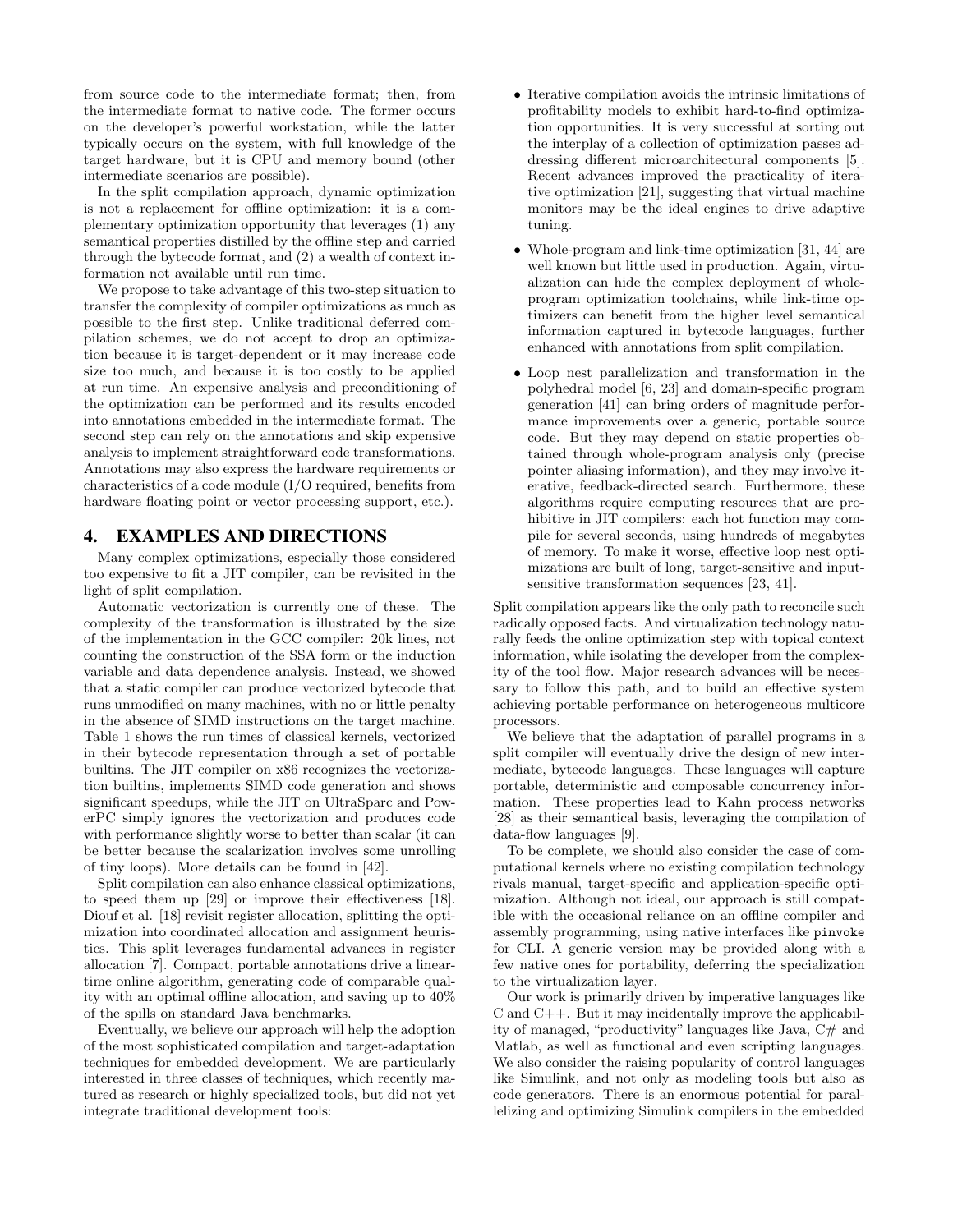from source code to the intermediate format; then, from the intermediate format to native code. The former occurs on the developer's powerful workstation, while the latter typically occurs on the system, with full knowledge of the target hardware, but it is CPU and memory bound (other intermediate scenarios are possible).

In the split compilation approach, dynamic optimization is not a replacement for offline optimization: it is a complementary optimization opportunity that leverages (1) any semantical properties distilled by the offline step and carried through the bytecode format, and (2) a wealth of context information not available until run time.

We propose to take advantage of this two-step situation to transfer the complexity of compiler optimizations as much as possible to the first step. Unlike traditional deferred compilation schemes, we do not accept to drop an optimization because it is target-dependent or it may increase code size too much, and because it is too costly to be applied at run time. An expensive analysis and preconditioning of the optimization can be performed and its results encoded into annotations embedded in the intermediate format. The second step can rely on the annotations and skip expensive analysis to implement straightforward code transformations. Annotations may also express the hardware requirements or characteristics of a code module (I/O required, benefits from hardware floating point or vector processing support, etc.).

#### 4. EXAMPLES AND DIRECTIONS

Many complex optimizations, especially those considered too expensive to fit a JIT compiler, can be revisited in the light of split compilation.

Automatic vectorization is currently one of these. The complexity of the transformation is illustrated by the size of the implementation in the GCC compiler: 20k lines, not counting the construction of the SSA form or the induction variable and data dependence analysis. Instead, we showed that a static compiler can produce vectorized bytecode that runs unmodified on many machines, with no or little penalty in the absence of SIMD instructions on the target machine. Table 1 shows the run times of classical kernels, vectorized in their bytecode representation through a set of portable builtins. The JIT compiler on x86 recognizes the vectorization builtins, implements SIMD code generation and shows significant speedups, while the JIT on UltraSparc and PowerPC simply ignores the vectorization and produces code with performance slightly worse to better than scalar (it can be better because the scalarization involves some unrolling of tiny loops). More details can be found in [42].

Split compilation can also enhance classical optimizations, to speed them up [29] or improve their effectiveness [18]. Diouf et al. [18] revisit register allocation, splitting the optimization into coordinated allocation and assignment heuristics. This split leverages fundamental advances in register allocation [7]. Compact, portable annotations drive a lineartime online algorithm, generating code of comparable quality with an optimal offline allocation, and saving up to 40% of the spills on standard Java benchmarks.

Eventually, we believe our approach will help the adoption of the most sophisticated compilation and target-adaptation techniques for embedded development. We are particularly interested in three classes of techniques, which recently matured as research or highly specialized tools, but did not yet integrate traditional development tools:

- Iterative compilation avoids the intrinsic limitations of profitability models to exhibit hard-to-find optimization opportunities. It is very successful at sorting out the interplay of a collection of optimization passes addressing different microarchitectural components [5]. Recent advances improved the practicality of iterative optimization [21], suggesting that virtual machine monitors may be the ideal engines to drive adaptive tuning.
- Whole-program and link-time optimization [31, 44] are well known but little used in production. Again, virtualization can hide the complex deployment of wholeprogram optimization toolchains, while link-time optimizers can benefit from the higher level semantical information captured in bytecode languages, further enhanced with annotations from split compilation.
- Loop nest parallelization and transformation in the polyhedral model [6, 23] and domain-specific program generation [41] can bring orders of magnitude performance improvements over a generic, portable source code. But they may depend on static properties obtained through whole-program analysis only (precise pointer aliasing information), and they may involve iterative, feedback-directed search. Furthermore, these algorithms require computing resources that are prohibitive in JIT compilers: each hot function may compile for several seconds, using hundreds of megabytes of memory. To make it worse, effective loop nest optimizations are built of long, target-sensitive and inputsensitive transformation sequences [23, 41].

Split compilation appears like the only path to reconcile such radically opposed facts. And virtualization technology naturally feeds the online optimization step with topical context information, while isolating the developer from the complexity of the tool flow. Major research advances will be necessary to follow this path, and to build an effective system achieving portable performance on heterogeneous multicore processors.

We believe that the adaptation of parallel programs in a split compiler will eventually drive the design of new intermediate, bytecode languages. These languages will capture portable, deterministic and composable concurrency information. These properties lead to Kahn process networks [28] as their semantical basis, leveraging the compilation of data-flow languages [9].

To be complete, we should also consider the case of computational kernels where no existing compilation technology rivals manual, target-specific and application-specific optimization. Although not ideal, our approach is still compatible with the occasional reliance on an offline compiler and assembly programming, using native interfaces like pinvoke for CLI. A generic version may be provided along with a few native ones for portability, deferring the specialization to the virtualization layer.

Our work is primarily driven by imperative languages like C and C++. But it may incidentally improve the applicability of managed, "productivity" languages like Java, C# and Matlab, as well as functional and even scripting languages. We also consider the raising popularity of control languages like Simulink, and not only as modeling tools but also as code generators. There is an enormous potential for parallelizing and optimizing Simulink compilers in the embedded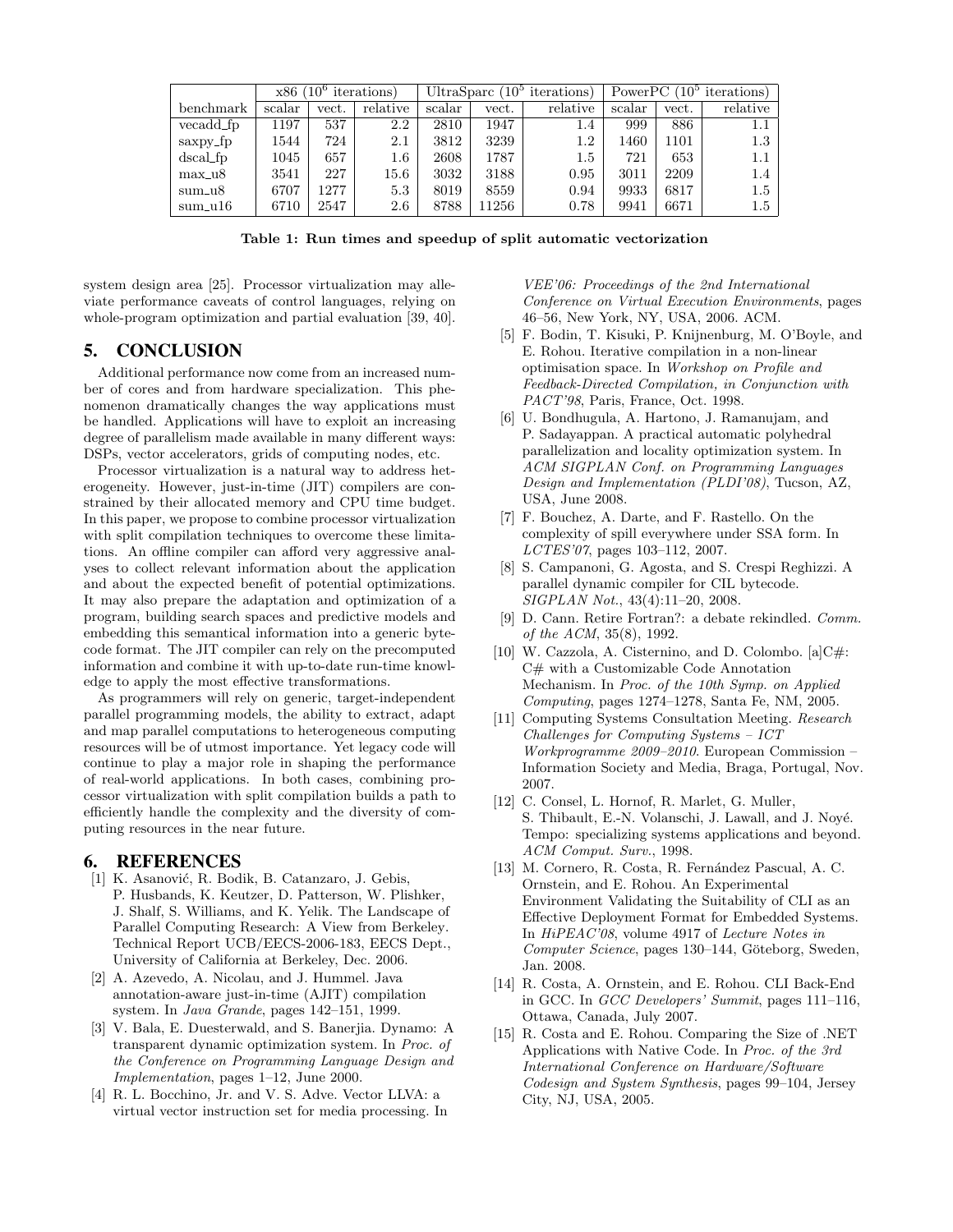|            | $(10^6)$<br><i>iterations</i> )<br>x86 |       |          | UltraSparc $(10^5)$<br><i>iterations</i> ) |       |          | PowerPC $(10^5$<br><i>iterations</i> |       |          |
|------------|----------------------------------------|-------|----------|--------------------------------------------|-------|----------|--------------------------------------|-------|----------|
| benchmark  | scalar                                 | vect. | relative | scalar                                     | vect. | relative | scalar                               | vect. | relative |
| vecadd_fp  | 1197                                   | 537   | 2.2      | 2810                                       | 1947  | 1.4      | 999                                  | 886   | $1.1\,$  |
| $saxyy_f$  | 1544                                   | 724   | 2.1      | 3812                                       | 3239  | 1.2      | 1460                                 | 1101  | $1.3\,$  |
| dscal_fp   | 1045                                   | 657   | $1.6\,$  | 2608                                       | 1787  | 1.5      | 721                                  | 653   | $1.1\,$  |
| $max_u 8$  | 3541                                   | 227   | $15.6\,$ | 3032                                       | 3188  | 0.95     | 3011                                 | 2209  | 1.4      |
| $sum_18$   | 6707                                   | 1277  | 5.3      | 8019                                       | 8559  | 0.94     | 9933                                 | 6817  | $1.5\,$  |
| $sum_1 16$ | 6710                                   | 2547  | 2.6      | 8788                                       | 1256  | 0.78     | 9941                                 | 6671  | $1.5\,$  |

Table 1: Run times and speedup of split automatic vectorization

system design area [25]. Processor virtualization may alleviate performance caveats of control languages, relying on whole-program optimization and partial evaluation [39, 40].

#### 5. CONCLUSION

Additional performance now come from an increased number of cores and from hardware specialization. This phenomenon dramatically changes the way applications must be handled. Applications will have to exploit an increasing degree of parallelism made available in many different ways: DSPs, vector accelerators, grids of computing nodes, etc.

Processor virtualization is a natural way to address heterogeneity. However, just-in-time (JIT) compilers are constrained by their allocated memory and CPU time budget. In this paper, we propose to combine processor virtualization with split compilation techniques to overcome these limitations. An offline compiler can afford very aggressive analyses to collect relevant information about the application and about the expected benefit of potential optimizations. It may also prepare the adaptation and optimization of a program, building search spaces and predictive models and embedding this semantical information into a generic bytecode format. The JIT compiler can rely on the precomputed information and combine it with up-to-date run-time knowledge to apply the most effective transformations.

As programmers will rely on generic, target-independent parallel programming models, the ability to extract, adapt and map parallel computations to heterogeneous computing resources will be of utmost importance. Yet legacy code will continue to play a major role in shaping the performance of real-world applications. In both cases, combining processor virtualization with split compilation builds a path to efficiently handle the complexity and the diversity of computing resources in the near future.

#### 6. REFERENCES

- [1] K. Asanović, R. Bodik, B. Catanzaro, J. Gebis, P. Husbands, K. Keutzer, D. Patterson, W. Plishker, J. Shalf, S. Williams, and K. Yelik. The Landscape of Parallel Computing Research: A View from Berkeley. Technical Report UCB/EECS-2006-183, EECS Dept., University of California at Berkeley, Dec. 2006.
- [2] A. Azevedo, A. Nicolau, and J. Hummel. Java annotation-aware just-in-time (AJIT) compilation system. In Java Grande, pages 142–151, 1999.
- [3] V. Bala, E. Duesterwald, and S. Banerjia. Dynamo: A transparent dynamic optimization system. In Proc. of the Conference on Programming Language Design and Implementation, pages 1–12, June 2000.
- [4] R. L. Bocchino, Jr. and V. S. Adve. Vector LLVA: a virtual vector instruction set for media processing. In

VEE'06: Proceedings of the 2nd International Conference on Virtual Execution Environments, pages 46–56, New York, NY, USA, 2006. ACM.

- [5] F. Bodin, T. Kisuki, P. Knijnenburg, M. O'Boyle, and E. Rohou. Iterative compilation in a non-linear optimisation space. In Workshop on Profile and Feedback-Directed Compilation, in Conjunction with PACT'98, Paris, France, Oct. 1998.
- [6] U. Bondhugula, A. Hartono, J. Ramanujam, and P. Sadayappan. A practical automatic polyhedral parallelization and locality optimization system. In ACM SIGPLAN Conf. on Programming Languages Design and Implementation (PLDI'08), Tucson, AZ, USA, June 2008.
- [7] F. Bouchez, A. Darte, and F. Rastello. On the complexity of spill everywhere under SSA form. In LCTES'07, pages 103–112, 2007.
- [8] S. Campanoni, G. Agosta, and S. Crespi Reghizzi. A parallel dynamic compiler for CIL bytecode. SIGPLAN Not., 43(4):11–20, 2008.
- [9] D. Cann. Retire Fortran?: a debate rekindled. Comm. of the ACM, 35(8), 1992.
- [10] W. Cazzola, A. Cisternino, and D. Colombo.  $[a]C\#$ : C# with a Customizable Code Annotation Mechanism. In Proc. of the 10th Symp. on Applied Computing, pages 1274–1278, Santa Fe, NM, 2005.
- [11] Computing Systems Consultation Meeting. Research Challenges for Computing Systems – ICT Workprogramme 2009–2010. European Commission – Information Society and Media, Braga, Portugal, Nov. 2007.
- [12] C. Consel, L. Hornof, R. Marlet, G. Muller, S. Thibault, E.-N. Volanschi, J. Lawall, and J. Noyé. Tempo: specializing systems applications and beyond. ACM Comput. Surv., 1998.
- [13] M. Cornero, R. Costa, R. Fernández Pascual, A. C. Ornstein, and E. Rohou. An Experimental Environment Validating the Suitability of CLI as an Effective Deployment Format for Embedded Systems. In HiPEAC'08, volume 4917 of Lecture Notes in Computer Science, pages 130–144, Göteborg, Sweden, Jan. 2008.
- [14] R. Costa, A. Ornstein, and E. Rohou. CLI Back-End in GCC. In GCC Developers' Summit, pages 111–116, Ottawa, Canada, July 2007.
- [15] R. Costa and E. Rohou. Comparing the Size of .NET Applications with Native Code. In Proc. of the 3rd International Conference on Hardware/Software Codesign and System Synthesis, pages 99–104, Jersey City, NJ, USA, 2005.